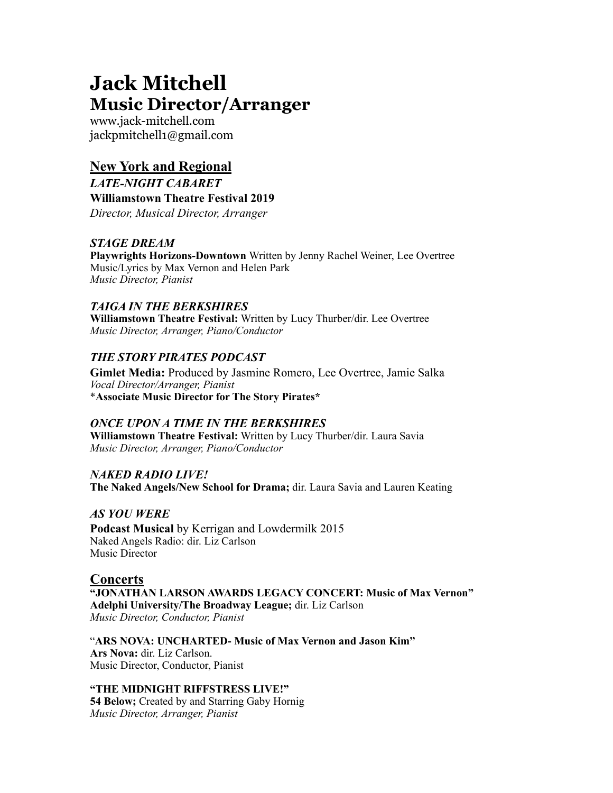# **Jack Mitchell Music Director/Arranger**

www.jack-mitchell.com jackpmitchell1@gmail.com

# **New York and Regional**

*LATE-NIGHT CABARET*  **Williamstown Theatre Festival 2019**  *Director, Musical Director, Arranger* 

#### *STAGE DREAM*

**Playwrights Horizons-Downtown** Written by Jenny Rachel Weiner, Lee Overtree Music/Lyrics by Max Vernon and Helen Park *Music Director, Pianist* 

## *TAIGA IN THE BERKSHIRES*

**Williamstown Theatre Festival:** Written by Lucy Thurber/dir. Lee Overtree *Music Director, Arranger, Piano/Conductor*

## *THE STORY PIRATES PODCAST*

**Gimlet Media:** Produced by Jasmine Romero, Lee Overtree, Jamie Salka *Vocal Director/Arranger, Pianist*  \***Associate Music Director for The Story Pirates\*** 

#### *ONCE UPON A TIME IN THE BERKSHIRES*

**Williamstown Theatre Festival:** Written by Lucy Thurber/dir. Laura Savia *Music Director, Arranger, Piano/Conductor*

#### *NAKED RADIO LIVE!*

**The Naked Angels/New School for Drama;** dir. Laura Savia and Lauren Keating

#### *AS YOU WERE*

**Podcast Musical** by Kerrigan and Lowdermilk 2015 Naked Angels Radio: dir. Liz Carlson Music Director

## **Concerts**

**"JONATHAN LARSON AWARDS LEGACY CONCERT: Music of Max Vernon" Adelphi University/The Broadway League;** dir. Liz Carlson *Music Director, Conductor, Pianist*

"**ARS NOVA: UNCHARTED- Music of Max Vernon and Jason Kim" Ars Nova:** dir. Liz Carlson. Music Director, Conductor, Pianist

#### **"THE MIDNIGHT RIFFSTRESS LIVE!"**

**54 Below;** Created by and Starring Gaby Hornig *Music Director, Arranger, Pianist*